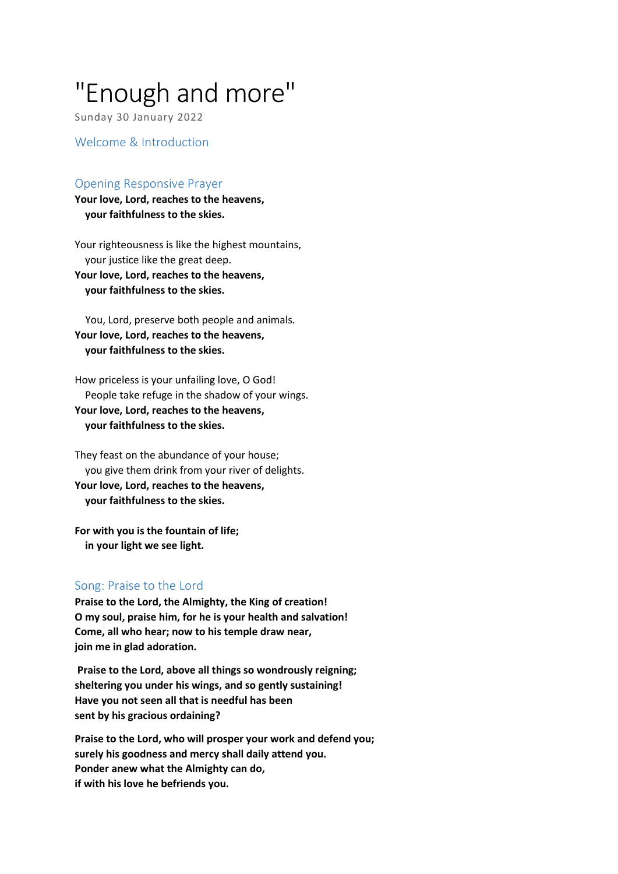# "Enough and more"

Sunday 30 January 2022

Welcome & Introduction

## Opening Responsive Prayer

**Your love, Lord, reaches to the heavens, your faithfulness to the skies.**

Your righteousness is like the highest mountains, your justice like the great deep. **Your love, Lord, reaches to the heavens, your faithfulness to the skies.**

 You, Lord, preserve both people and animals. **Your love, Lord, reaches to the heavens, your faithfulness to the skies.**

How priceless is your unfailing love, O God! People take refuge in the shadow of your wings. **Your love, Lord, reaches to the heavens, your faithfulness to the skies.**

They feast on the abundance of your house; you give them drink from your river of delights. **Your love, Lord, reaches to the heavens, your faithfulness to the skies.**

**For with you is the fountain of life; in your light we see light.**

## Song: Praise to the Lord

**Praise to the Lord, the Almighty, the King of creation! O my soul, praise him, for he is your health and salvation! Come, all who hear; now to his temple draw near, join me in glad adoration.**

**Praise to the Lord, above all things so wondrously reigning; sheltering you under his wings, and so gently sustaining! Have you not seen all that is needful has been sent by his gracious ordaining?**

**Praise to the Lord, who will prosper your work and defend you; surely his goodness and mercy shall daily attend you. Ponder anew what the Almighty can do, if with his love he befriends you.**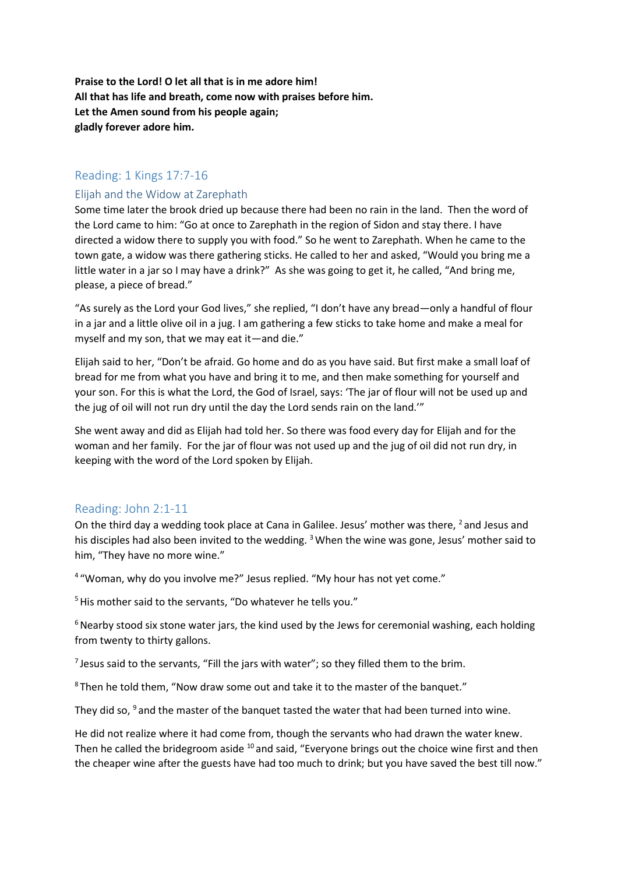**Praise to the Lord! O let all that is in me adore him! All that has life and breath, come now with praises before him. Let the Amen sound from his people again; gladly forever adore him.**

## Reading: 1 Kings 17:7-16

#### Elijah and the Widow at Zarephath

Some time later the brook dried up because there had been no rain in the land. Then the word of the Lord came to him: "Go at once to Zarephath in the region of Sidon and stay there. I have directed a widow there to supply you with food." So he went to Zarephath. When he came to the town gate, a widow was there gathering sticks. He called to her and asked, "Would you bring me a little water in a jar so I may have a drink?" As she was going to get it, he called, "And bring me, please, a piece of bread."

"As surely as the Lord your God lives," she replied, "I don't have any bread—only a handful of flour in a jar and a little olive oil in a jug. I am gathering a few sticks to take home and make a meal for myself and my son, that we may eat it—and die."

Elijah said to her, "Don't be afraid. Go home and do as you have said. But first make a small loaf of bread for me from what you have and bring it to me, and then make something for yourself and your son. For this is what the Lord, the God of Israel, says: 'The jar of flour will not be used up and the jug of oil will not run dry until the day the Lord sends rain on the land.'"

She went away and did as Elijah had told her. So there was food every day for Elijah and for the woman and her family. For the jar of flour was not used up and the jug of oil did not run dry, in keeping with the word of the Lord spoken by Elijah.

## Reading: John 2:1-11

On the third day a wedding took place at Cana in Galilee. Jesus' mother was there, <sup>2</sup> and Jesus and his disciples had also been invited to the wedding. <sup>3</sup> When the wine was gone, Jesus' mother said to him, "They have no more wine."

<sup>4</sup> "Woman, why do you involve me?" Jesus replied. "My hour has not yet come."

<sup>5</sup> His mother said to the servants, "Do whatever he tells you."

 $6$ Nearby stood six stone water jars, the kind used by the Jews for ceremonial washing, each holding from twenty to thirty gallons.

 $<sup>7</sup>$  Jesus said to the servants, "Fill the jars with water"; so they filled them to the brim.</sup>

<sup>8</sup> Then he told them, "Now draw some out and take it to the master of the banquet."

They did so, <sup>9</sup> and the master of the banquet tasted the water that had been turned into wine.

He did not realize where it had come from, though the servants who had drawn the water knew. Then he called the bridegroom aside <sup>10</sup> and said, "Everyone brings out the choice wine first and then the cheaper wine after the guests have had too much to drink; but you have saved the best till now."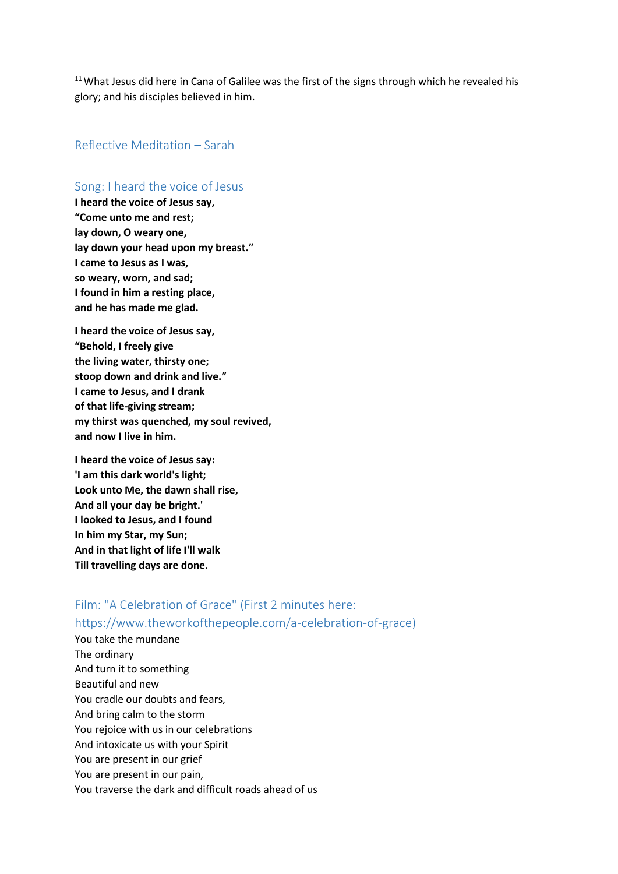$11$  What Jesus did here in Cana of Galilee was the first of the signs through which he revealed his glory; and his disciples believed in him.

Reflective Meditation – Sarah

#### Song: I heard the voice of Jesus

**I heard the voice of Jesus say, "Come unto me and rest; lay down, O weary one, lay down your head upon my breast." I came to Jesus as I was, so weary, worn, and sad; I found in him a resting place, and he has made me glad.**

**I heard the voice of Jesus say, "Behold, I freely give the living water, thirsty one; stoop down and drink and live." I came to Jesus, and I drank of that life-giving stream; my thirst was quenched, my soul revived, and now I live in him.**

**I heard the voice of Jesus say: 'I am this dark world's light; Look unto Me, the dawn shall rise, And all your day be bright.' I looked to Jesus, and I found In him my Star, my Sun; And in that light of life I'll walk Till travelling days are done.**

## Film: "A Celebration of Grace" (First 2 minutes here: https://www.theworkofthepeople.com/a-celebration-of-grace)

You take the mundane The ordinary And turn it to something Beautiful and new You cradle our doubts and fears, And bring calm to the storm You rejoice with us in our celebrations And intoxicate us with your Spirit You are present in our grief You are present in our pain, You traverse the dark and difficult roads ahead of us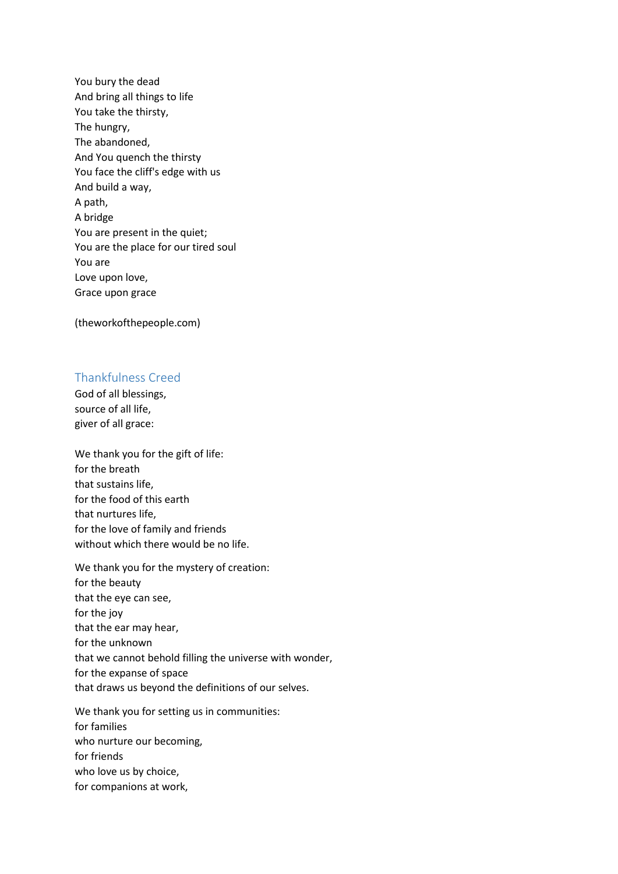You bury the dead And bring all things to life You take the thirsty, The hungry, The abandoned, And You quench the thirsty You face the cliff's edge with us And build a way, A path, A bridge You are present in the quiet; You are the place for our tired soul You are Love upon love, Grace upon grace

(theworkofthepeople.com)

## Thankfulness Creed

God of all blessings, source of all life, giver of all grace:

We thank you for the gift of life: for the breath that sustains life, for the food of this earth that nurtures life, for the love of family and friends without which there would be no life.

We thank you for the mystery of creation: for the beauty that the eye can see, for the joy that the ear may hear, for the unknown that we cannot behold filling the universe with wonder, for the expanse of space that draws us beyond the definitions of our selves.

We thank you for setting us in communities: for families who nurture our becoming, for friends who love us by choice, for companions at work,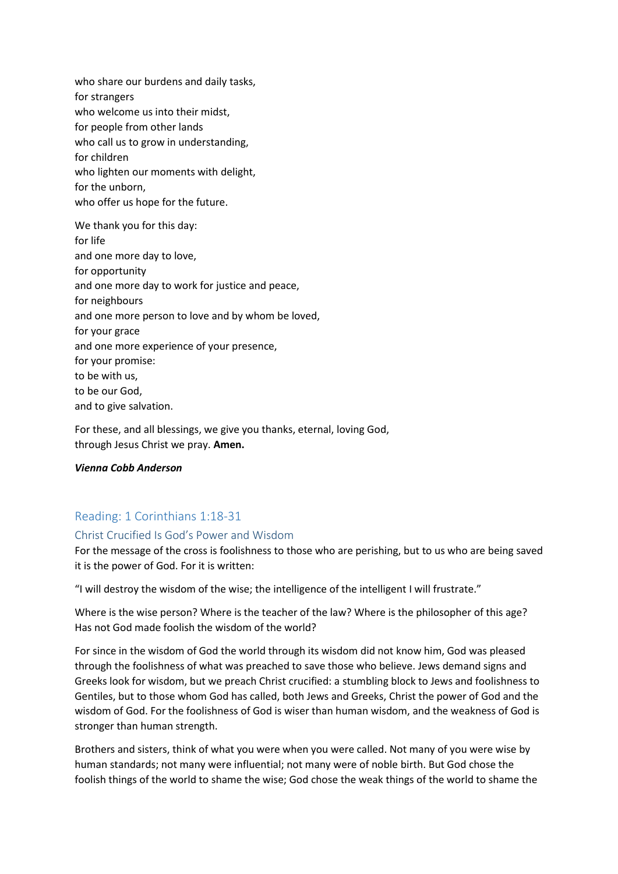who share our burdens and daily tasks, for strangers who welcome us into their midst, for people from other lands who call us to grow in understanding, for children who lighten our moments with delight, for the unborn, who offer us hope for the future.

We thank you for this day: for life and one more day to love, for opportunity and one more day to work for justice and peace, for neighbours and one more person to love and by whom be loved, for your grace and one more experience of your presence, for your promise: to be with us, to be our God, and to give salvation.

For these, and all blessings, we give you thanks, eternal, loving God, through Jesus Christ we pray. **Amen.**

#### *Vienna Cobb Anderson*

## Reading: 1 Corinthians 1:18-31

#### Christ Crucified Is God's Power and Wisdom

For the message of the cross is foolishness to those who are perishing, but to us who are being saved it is the power of God. For it is written:

"I will destroy the wisdom of the wise; the intelligence of the intelligent I will frustrate."

Where is the wise person? Where is the teacher of the law? Where is the philosopher of this age? Has not God made foolish the wisdom of the world?

For since in the wisdom of God the world through its wisdom did not know him, God was pleased through the foolishness of what was preached to save those who believe. Jews demand signs and Greeks look for wisdom, but we preach Christ crucified: a stumbling block to Jews and foolishness to Gentiles, but to those whom God has called, both Jews and Greeks, Christ the power of God and the wisdom of God. For the foolishness of God is wiser than human wisdom, and the weakness of God is stronger than human strength.

Brothers and sisters, think of what you were when you were called. Not many of you were wise by human standards; not many were influential; not many were of noble birth. But God chose the foolish things of the world to shame the wise; God chose the weak things of the world to shame the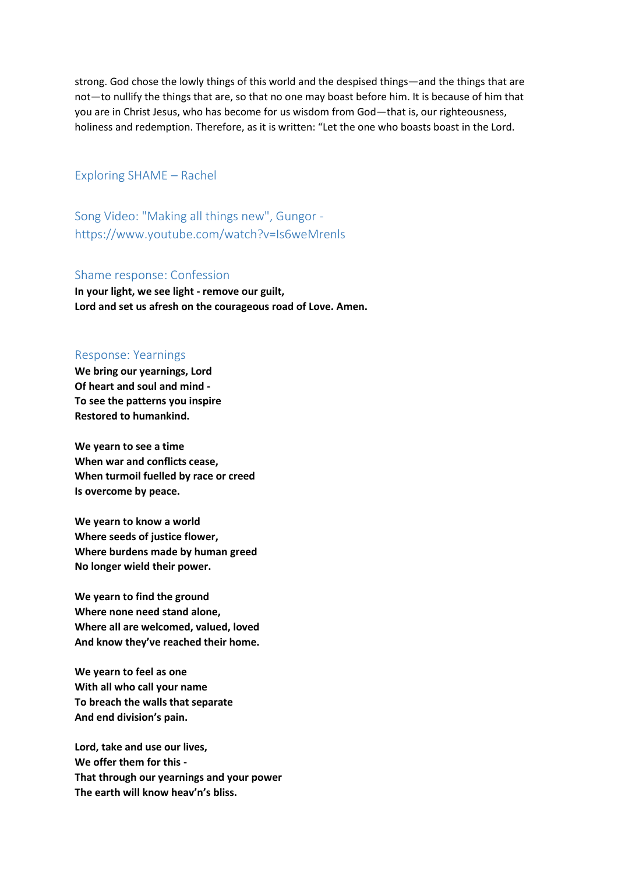strong. God chose the lowly things of this world and the despised things—and the things that are not—to nullify the things that are, so that no one may boast before him. It is because of him that you are in Christ Jesus, who has become for us wisdom from God—that is, our righteousness, holiness and redemption. Therefore, as it is written: "Let the one who boasts boast in the Lord.

Exploring SHAME – Rachel

Song Video: "Making all things new", Gungor https://www.youtube.com/watch?v=Is6weMrenls

#### Shame response: Confession

**In your light, we see light - remove our guilt, Lord and set us afresh on the courageous road of Love. Amen.**

#### Response: Yearnings

**We bring our yearnings, Lord Of heart and soul and mind - To see the patterns you inspire Restored to humankind.**

**We yearn to see a time When war and conflicts cease, When turmoil fuelled by race or creed Is overcome by peace.**

**We yearn to know a world Where seeds of justice flower, Where burdens made by human greed No longer wield their power.**

**We yearn to find the ground Where none need stand alone, Where all are welcomed, valued, loved And know they've reached their home.**

**We yearn to feel as one With all who call your name To breach the walls that separate And end division's pain.**

**Lord, take and use our lives, We offer them for this - That through our yearnings and your power The earth will know heav'n's bliss.**